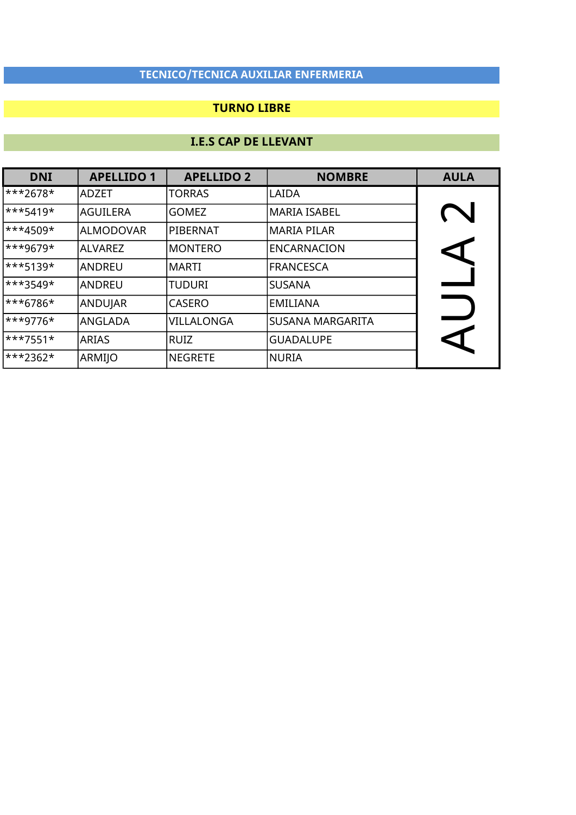### TURNO LIBRE

| <b>DNI</b>              | <b>APELLIDO 1</b> | <b>APELLIDO 2</b> | <b>NOMBRE</b>           | <b>AULA</b>          |
|-------------------------|-------------------|-------------------|-------------------------|----------------------|
| ***2678*                | <b>ADZET</b>      | <b>TORRAS</b>     | LAIDA                   |                      |
| $\ast\ast\ast$ 5419*    | <b>AGUILERA</b>   | <b>GOMEZ</b>      | MARIA ISABEL            |                      |
| $\ast\ast\ast 4509\ast$ | ALMODOVAR         | PIBERNAT          | MARIA PILAR             |                      |
| ***9679*                | <b>ALVAREZ</b>    | <b>MONTERO</b>    | <b>ENCARNACION</b>      | $\blacktriangleleft$ |
| ***5139*                | <b>ANDREU</b>     | <b>MARTI</b>      | <b>FRANCESCA</b>        |                      |
| ***3549*                | <b>ANDREU</b>     | <b>TUDURI</b>     | <b>SUSANA</b>           |                      |
| <sup>***6786*</sup>     | ANDUJAR           | <b>CASERO</b>     | <b>EMILIANA</b>         |                      |
| <sup>***9776*</sup>     | ANGLADA           | VILLALONGA        | <b>SUSANA MARGARITA</b> |                      |
| $\ast\ast\ast$ 7551*    | <b>ARIAS</b>      | <b>RUIZ</b>       | <b>GUADALUPE</b>        | CI                   |
| <sup>***2362*</sup>     | ARMIJO            | <b>NEGRETE</b>    | <b>NURIA</b>            |                      |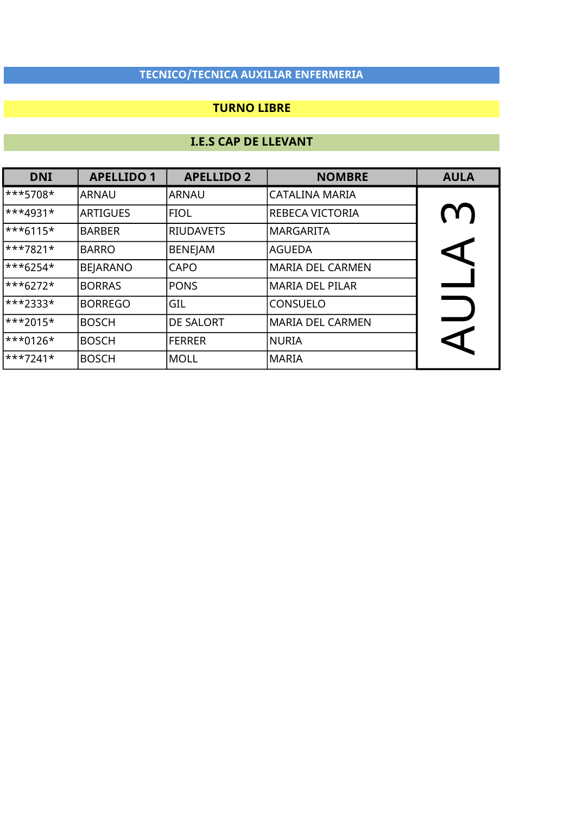### TURNO LIBRE

| <b>DNI</b>                | <b>APELLIDO 1</b> | <b>APELLIDO 2</b> | <b>NOMBRE</b>           | <b>AULA</b> |
|---------------------------|-------------------|-------------------|-------------------------|-------------|
| ***5708*                  | <b>ARNAU</b>      | ARNAU             | <b>CATALINA MARIA</b>   |             |
| $\ast\ast\ast 4931\ast$   | <b>ARTIGUES</b>   | <b>FIOL</b>       | REBECA VICTORIA         | (Y )        |
| $\ast\ast\ast 6115\ast$   | <b>BARBER</b>     | <b>RIUDAVETS</b>  | <b>MARGARITA</b>        |             |
| $\ast\ast\ast7821\ast$    | <b>BARRO</b>      | <b>BENEJAM</b>    | <b>AGUEDA</b>           | <b>KI</b>   |
| $\ast\ast\ast$ 6254*      | <b>BEJARANO</b>   | <b>CAPO</b>       | <b>MARIA DEL CARMEN</b> |             |
| $\ast\ast\ast_{6272}\ast$ | <b>BORRAS</b>     | <b>PONS</b>       | <b>MARIA DEL PILAR</b>  |             |
| $\ast\ast\ast2333\ast$    | <b>BORREGO</b>    | GIL               | <b>CONSUELO</b>         |             |
| $\ast\ast\ast$ 2015*      | <b>BOSCH</b>      | <b>DE SALORT</b>  | <b>MARIA DEL CARMEN</b> |             |
| $\ast\ast\ast0126\ast$    | <b>BOSCH</b>      | <b>FERRER</b>     | NURIA                   |             |
| $\ast\ast\ast7241\ast$    | <b>BOSCH</b>      | MOLL              | <b>MARIA</b>            |             |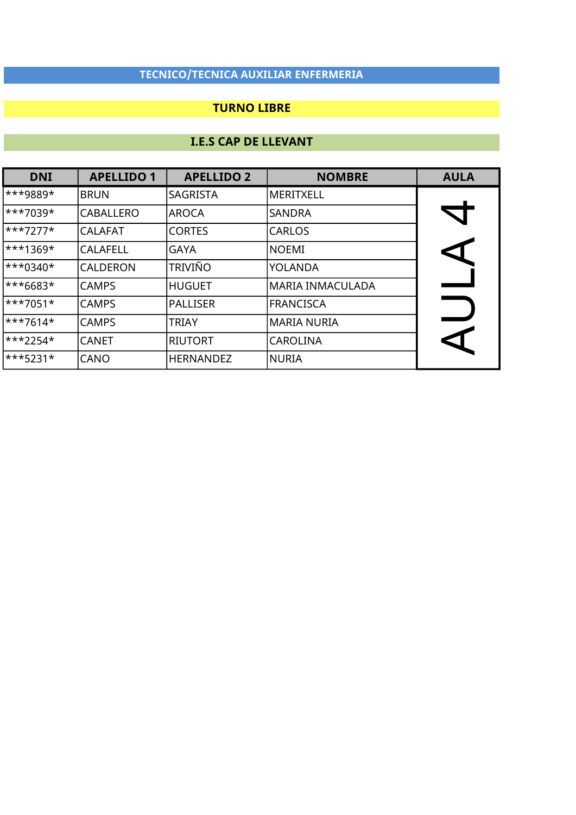### TURNO LIBRE

| <b>DNI</b>                | <b>APELLIDO 1</b> | <b>APELLIDO 2</b> | <b>NOMBRE</b>    | <b>AULA</b>          |
|---------------------------|-------------------|-------------------|------------------|----------------------|
| ***9889*                  | <b>BRUN</b>       | <b>SAGRISTA</b>   | MERITXELL        |                      |
| $\ast\ast\ast7039\ast$    | <b>CABALLERO</b>  | <b>AROCA</b>      | <b>SANDRA</b>    | $\blacktriangledown$ |
| $\ast\ast\ast7277\ast$    | <b>CALAFAT</b>    | <b>CORTES</b>     | <b>CARLOS</b>    |                      |
| $\ast\ast\ast1369\ast$    | <b>CALAFELL</b>   | <b>GAYA</b>       | <b>NOEMI</b>     |                      |
| $\ast \ast _{0340} \star$ | <b>CALDERON</b>   | <b>TRIVIÑO</b>    | YOLANDA          |                      |
| ***6683*                  | <b>CAMPS</b>      | HUGUET            | MARIA INMACULADA |                      |
| $\ast\ast\ast7051\ast$    | <b>CAMPS</b>      | PALLISER          | <b>FRANCISCA</b> |                      |
| $\ast\ast\ast$ 7614*      | <b>CAMPS</b>      | <b>TRIAY</b>      | MARIA NURIA      |                      |
| $\ast\ast\ast$ 2254*      | <b>CANET</b>      | <b>RIUTORT</b>    | <b>CAROLINA</b>  | CI                   |
| $\ast\ast\ast$ 5231*      | <b>CANO</b>       | <b>HERNANDEZ</b>  | <b>NURIA</b>     |                      |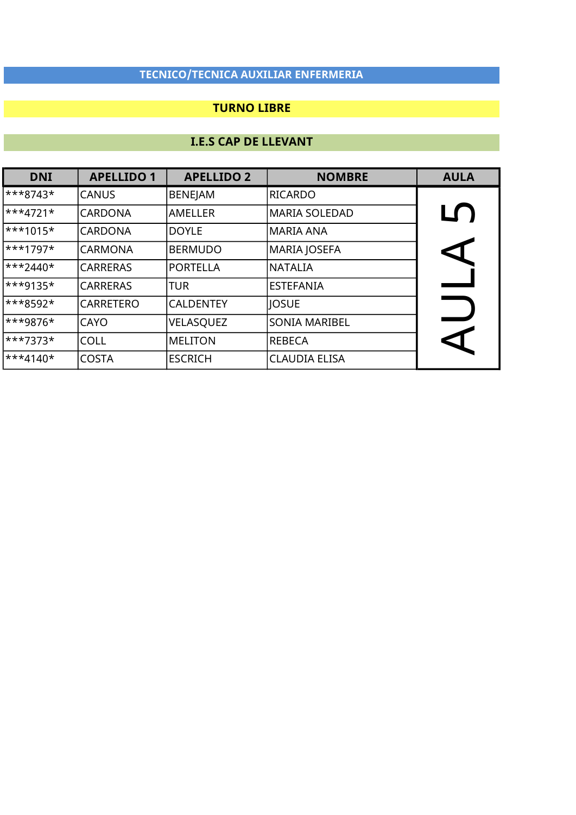### TURNO LIBRE

| <b>DNI</b>                | <b>APELLIDO 1</b> | <b>APELLIDO 2</b> | <b>NOMBRE</b>        | <b>AULA</b>          |
|---------------------------|-------------------|-------------------|----------------------|----------------------|
| $\ast\ast\ast 8743\ast$   | <b>CANUS</b>      | <b>BENEJAM</b>    | RICARDO              |                      |
| $\ast\ast\ast4721\ast$    | <b>CARDONA</b>    | <b>AMELLER</b>    | <b>MARIA SOLEDAD</b> | LŊ                   |
| $\ast\ast\ast1015\ast$    | <b>CARDONA</b>    | <b>DOYLE</b>      | MARIA ANA            |                      |
| $\ast\ast\ast1797\ast$    | <b>CARMONA</b>    | <b>BERMUDO</b>    | MARIA JOSEFA         | $\blacktriangleleft$ |
| $\ast\ast\ast$ 2440*      | <b>CARRERAS</b>   | PORTELLA          | <b>NATALIA</b>       |                      |
| <sup>***9135*</sup>       | <b>CARRERAS</b>   | <b>TUR</b>        | <b>ESTEFANIA</b>     |                      |
| ***8592*                  | <b>CARRETERO</b>  | <b>CALDENTEY</b>  | <b>JOSUE</b>         |                      |
| ***9876*                  | <b>CAYO</b>       | VELASQUEZ         | <b>SONIA MARIBEL</b> |                      |
| $\ast\ast\ast7373\ast$    | <b>COLL</b>       | <b>MELITON</b>    | <b>REBECA</b>        |                      |
| $\ast\ast\ast_{4140}\ast$ | <b>COSTA</b>      | <b>ESCRICH</b>    | <b>CLAUDIA ELISA</b> |                      |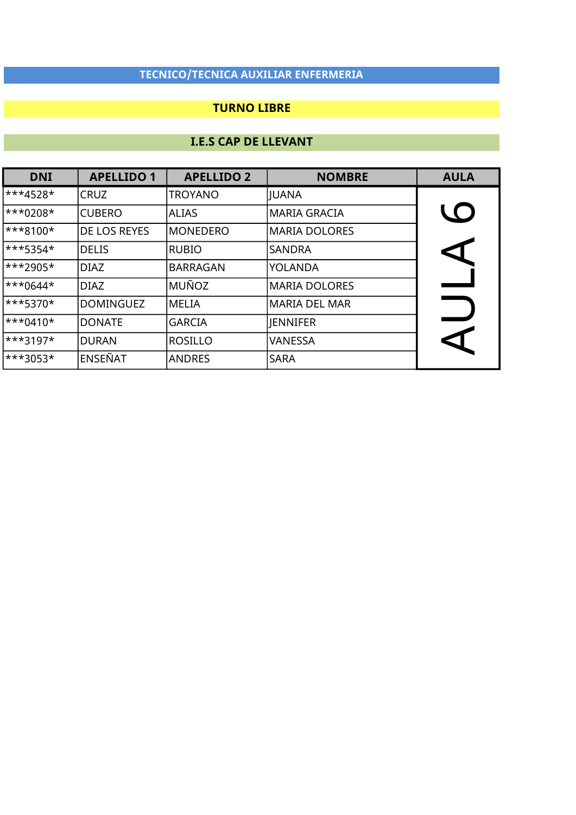### TURNO LIBRE

| <b>DNI</b> | <b>APELLIDO 1</b>   | <b>APELLIDO 2</b> | <b>NOMBRE</b>        | <b>AULA</b>          |
|------------|---------------------|-------------------|----------------------|----------------------|
| ***4528*   | <b>CRUZ</b>         | <b>TROYANO</b>    | JUANA                |                      |
| $***0208*$ | <b>CUBERO</b>       | <b>ALIAS</b>      | MARIA GRACIA         | <b>LO</b>            |
| $***8100*$ | <b>DE LOS REYES</b> | <b>MONEDERO</b>   | MARIA DOLORES        |                      |
| $***5354*$ | <b>DELIS</b>        | RUBIO             | SANDRA               | $\blacktriangleleft$ |
| ***2905*   | <b>DIAZ</b>         | <b>BARRAGAN</b>   | <b>YOLANDA</b>       |                      |
| $***0644*$ | <b>DIAZ</b>         | MUÑOZ             | <b>MARIA DOLORES</b> |                      |
| ***5370*   | <b>DOMINGUEZ</b>    | MELIA             | <b>MARIA DEL MAR</b> |                      |
| $***0410*$ | <b>DONATE</b>       | <b>GARCIA</b>     | <b>JENNIFER</b>      |                      |
| $**3197*$  | <b>DURAN</b>        | ROSILLO           | <b>VANESSA</b>       | C                    |
| ***3053*   | <b>ENSEÑAT</b>      | <b>ANDRES</b>     | <b>SARA</b>          |                      |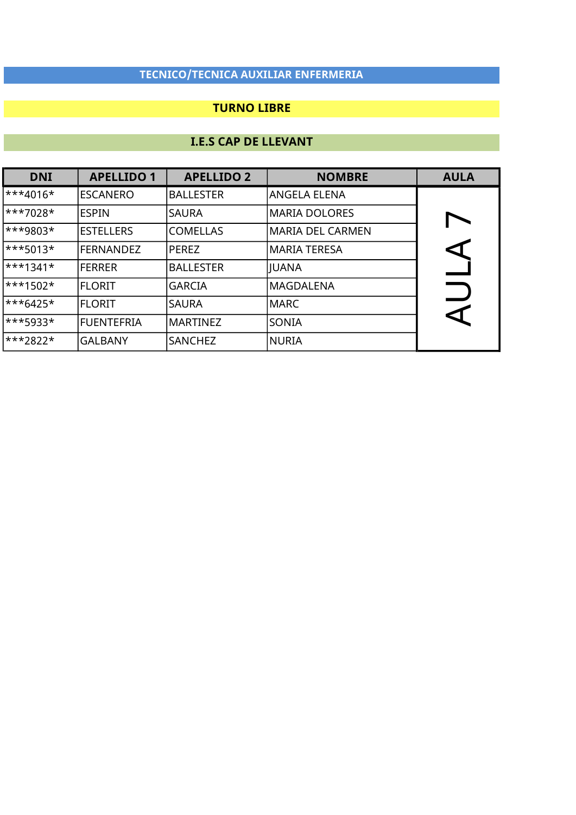### TURNO LIBRE

| <b>DNI</b>             | <b>APELLIDO 1</b> | <b>APELLIDO 2</b> | <b>NOMBRE</b>           | <b>AULA</b> |
|------------------------|-------------------|-------------------|-------------------------|-------------|
| ***4016*               | <b>ESCANERO</b>   | <b>BALLESTER</b>  | ANGELA ELENA            |             |
| $\ast\ast\ast7028\ast$ | ESPIN             | <b>SAURA</b>      | <b>MARIA DOLORES</b>    |             |
| ***9803*               | <b>ESTELLERS</b>  | <b>COMELLAS</b>   | <b>MARIA DEL CARMEN</b> |             |
| $\ast\ast\ast$ 5013*   | <b>FERNANDEZ</b>  | <b>PEREZ</b>      | MARIA TERESA            |             |
| $\ast\ast\ast1341\ast$ | <b>FERRER</b>     | <b>BALLESTER</b>  | JUANA                   |             |
| $\ast\ast1502\ast$     | <b>FLORIT</b>     | <b>GARCIA</b>     | lMAGDALENA              |             |
| ***6425*               | <b>FLORIT</b>     | <b>SAURA</b>      | <b>MARC</b>             |             |
| ***5933*               | FUENTEFRIA        | <b>MARTINEZ</b>   | SONIA                   |             |
| ***2822*               | <b>GALBANY</b>    | <b>SANCHEZ</b>    | NURIA                   |             |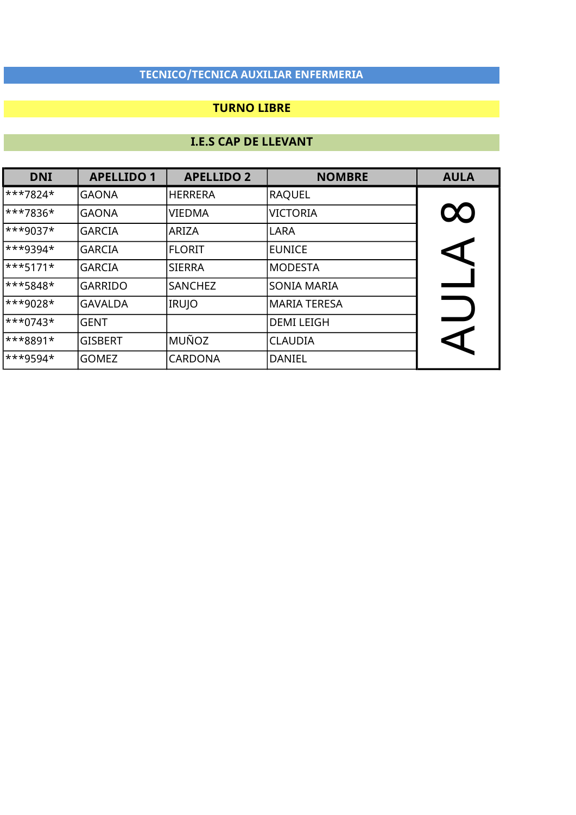### TURNO LIBRE

| <b>DNI</b> | <b>APELLIDO 1</b> | <b>APELLIDO 2</b> | <b>NOMBRE</b>      | <b>AULA</b>          |
|------------|-------------------|-------------------|--------------------|----------------------|
| ***7824*   | <b>GAONA</b>      | <b>HERRERA</b>    | <b>RAQUEL</b>      |                      |
| ***7836*   | <b>GAONA</b>      | <b>VIEDMA</b>     | <b>VICTORIA</b>    | $\infty$             |
| $**9037*$  | <b>GARCIA</b>     | ARIZA             | LARA               |                      |
| ***9394*   | <b>GARCIA</b>     | <b>FLORIT</b>     | EUNICE             | $\blacktriangleleft$ |
| $***5171*$ | <b>GARCIA</b>     | SIERRA            | MODESTA            |                      |
| ***5848*   | <b>GARRIDO</b>    | <b>SANCHEZ</b>    | <b>SONIA MARIA</b> |                      |
| $**9028*$  | <b>GAVALDA</b>    | <b>IRUJO</b>      | MARIA TERESA       |                      |
| $***0743*$ | <b>GENT</b>       |                   | <b>DEMI LEIGH</b>  |                      |
| ***8891*   | <b>GISBERT</b>    | MUÑOZ             | <b>CLAUDIA</b>     | C                    |
| $***9594*$ | <b>GOMEZ</b>      | <b>CARDONA</b>    | DANIEL             |                      |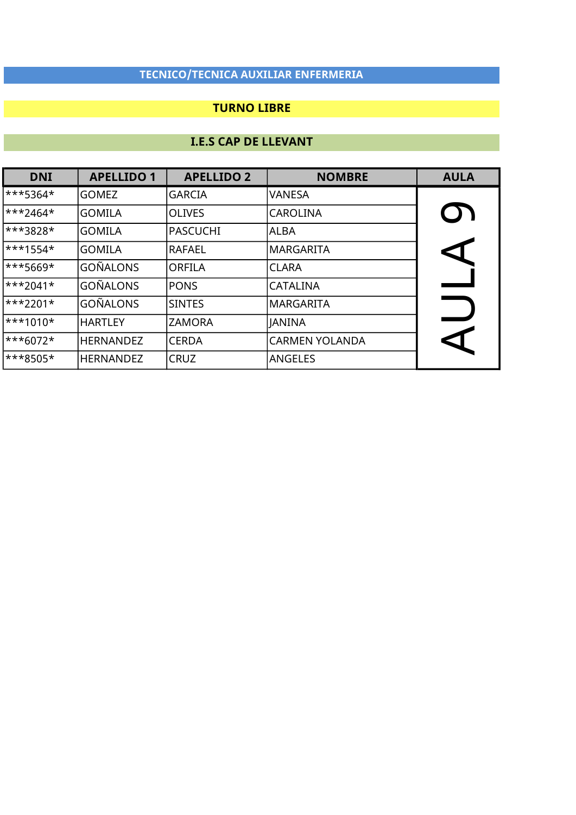### TURNO LIBRE

| <b>DNI</b>              | <b>APELLIDO 1</b> | <b>APELLIDO 2</b> | <b>NOMBRE</b>         | <b>AULA</b>          |
|-------------------------|-------------------|-------------------|-----------------------|----------------------|
| ***5364*                | <b>GOMEZ</b>      | <b>GARCIA</b>     | VANESA                |                      |
| ***2464*                | <b>GOMILA</b>     | <b>OLIVES</b>     | <b>CAROLINA</b>       | <b>D)</b>            |
| ***3828*                | <b>GOMILA</b>     | PASCUCHI          | ALBA                  |                      |
| $\ast\ast\ast1554\ast$  | <b>GOMILA</b>     | RAFAEL            | MARGARITA             | $\blacktriangleleft$ |
| ***5669*                | <b>GOÑALONS</b>   | <b>ORFILA</b>     | <b>CLARA</b>          |                      |
| $\ast\ast\ast2041\ast$  | <b>GOÑALONS</b>   | <b>PONS</b>       | <b>CATALINA</b>       |                      |
| $\ast\ast2201\ast$      | <b>GOÑALONS</b>   | <b>SINTES</b>     | MARGARITA             |                      |
| $\ast\ast\ast1010\ast$  | <b>HARTLEY</b>    | <b>ZAMORA</b>     | <b>JANINA</b>         |                      |
| $\ast\ast\ast 6072\ast$ | <b>HERNANDEZ</b>  | <b>CERDA</b>      | <b>CARMEN YOLANDA</b> | CI                   |
| <sup>***8505*</sup>     | <b>HERNANDEZ</b>  | <b>CRUZ</b>       | <b>ANGELES</b>        |                      |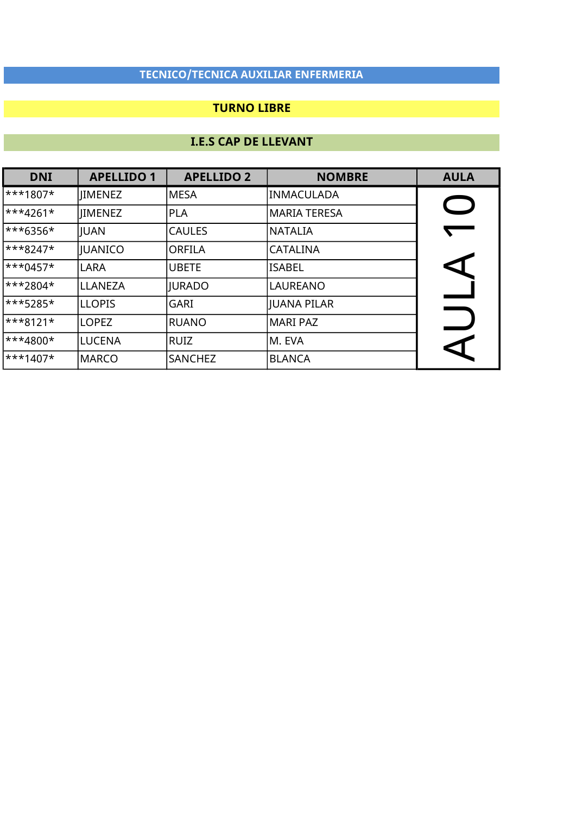### TURNO LIBRE

| <b>DNI</b> | <b>APELLIDO 1</b> | <b>APELLIDO 2</b> | <b>NOMBRE</b>   | <b>AULA</b>          |
|------------|-------------------|-------------------|-----------------|----------------------|
| ***1807*   | <b>IIMENEZ</b>    | <b>MESA</b>       | INMACULADA      |                      |
| ***4261*   | <b>IIMENEZ</b>    | <b>PLA</b>        | MARIA TERESA    |                      |
| ***6356*   | JUAN              | <b>CAULES</b>     | NATALIA         |                      |
| ***8247*   | JUANICO           | ORFILA            | <b>CATALINA</b> |                      |
| $***0457*$ | <b>LARA</b>       | <b>UBETE</b>      | <b>ISABEL</b>   |                      |
| ***2804*   | LLANEZA           | <b>JURADO</b>     | <b>LAUREANO</b> |                      |
| ***5285*   | <b>LLOPIS</b>     | <b>GARI</b>       | JUANA PILAR     |                      |
| $***8121*$ | <b>LOPEZ</b>      | RUANO             | MARI PAZ        |                      |
| $**4800*$  | LUCENA            | RUIZ              | lM. EVA         | $\blacktriangleleft$ |
| $***1407*$ | <b>MARCO</b>      | <b>SANCHEZ</b>    | <b>BLANCA</b>   |                      |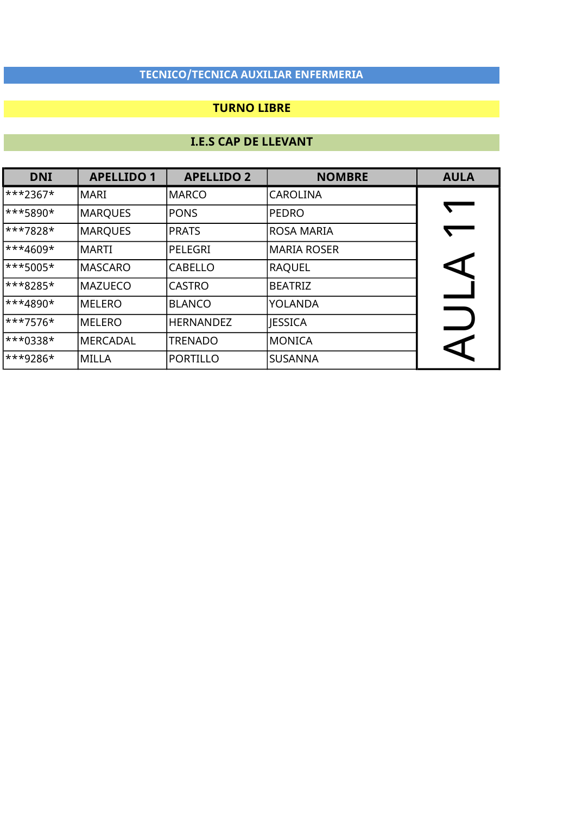### TURNO LIBRE

| <b>DNI</b>             | <b>APELLIDO 1</b> | <b>APELLIDO 2</b> | <b>NOMBRE</b>  | <b>AULA</b>          |
|------------------------|-------------------|-------------------|----------------|----------------------|
| ***2367*               | lMARI             | MARCO             | CAROLINA       |                      |
| ***5890*               | MARQUES           | <b>PONS</b>       | <b>PEDRO</b>   |                      |
| ***7828*               | MARQUES           | <b>PRATS</b>      | ROSA MARIA     |                      |
| $\ast\ast\ast4609\ast$ | IMARTI            | PELEGRI           | MARIA ROSER    |                      |
| ***5005*               | MASCARO           | <b>CABELLO</b>    | RAQUEL         | $\blacktriangleleft$ |
| ***8285*               | MAZUECO           | <b>CASTRO</b>     | <b>BEATRIZ</b> |                      |
| $\ast\ast4890\star$    | MELERO            | <b>BLANCO</b>     | <b>YOLANDA</b> |                      |
| ***7576*               | MELERO            | <b>HERNANDEZ</b>  | <b>JESSICA</b> |                      |
| ***0338*               | MERCADAL          | <b>TRENADO</b>    | <b>MONICA</b>  | $\blacktriangleleft$ |
| <sup>***9286</sup>     | lMILLA            | PORTILLO          | <b>SUSANNA</b> |                      |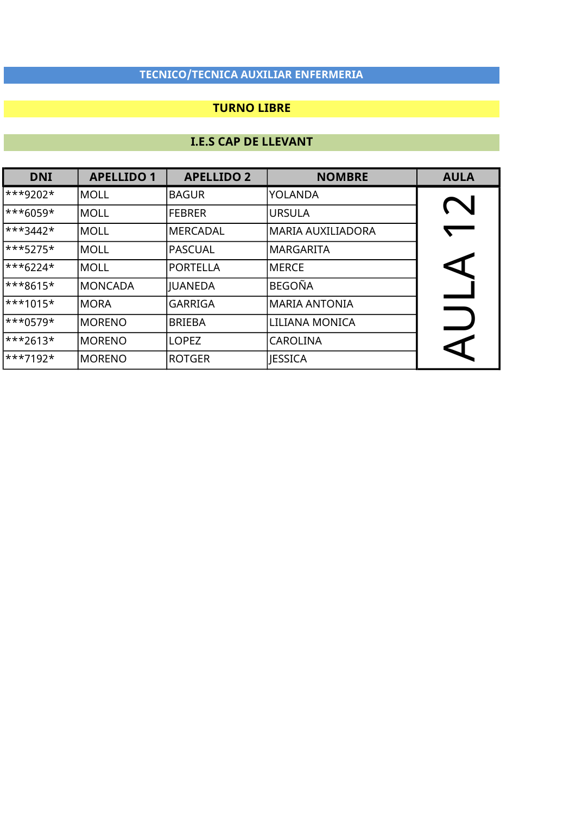### TURNO LIBRE

| <b>DNI</b> | <b>APELLIDO 1</b> | <b>APELLIDO 2</b> | <b>NOMBRE</b>     | <b>AULA</b> |
|------------|-------------------|-------------------|-------------------|-------------|
| $***9202*$ | IMOLL             | <b>BAGUR</b>      | YOLANDA           |             |
| $***6059*$ | <b>MOLL</b>       | <b>FEBRER</b>     | <b>URSULA</b>     |             |
| $***3442*$ | <b>MOLL</b>       | <b>MERCADAL</b>   | MARIA AUXILIADORA |             |
| $***5275*$ | MOLL              | PASCUAL           | IMARGARITA        |             |
| $***6224*$ | IMOLL             | PORTELLA          | <b>MERCE</b>      | P           |
| ***8615*   | <b>MONCADA</b>    | JUANEDA           | <b>BEGOÑA</b>     |             |
| $***1015*$ | <b>MORA</b>       | <b>GARRIGA</b>    | MARIA ANTONIA     |             |
| $***0579*$ | <b>MORENO</b>     | <b>BRIEBA</b>     | LILIANA MONICA    |             |
| $***2613*$ | <b>MORENO</b>     | <b>LOPEZ</b>      | <b>CAROLINA</b>   | ↸           |
| $***7192*$ | <b>MORENO</b>     | <b>ROTGER</b>     | <b>JESSICA</b>    |             |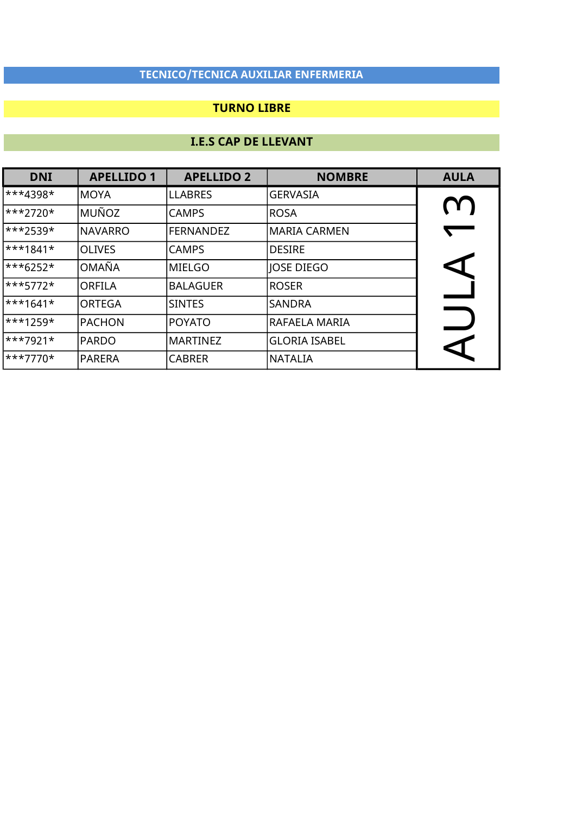### TURNO LIBRE

| <b>DNI</b>             | <b>APELLIDO 1</b> | <b>APELLIDO 2</b> | <b>NOMBRE</b>        | <b>AULA</b>          |
|------------------------|-------------------|-------------------|----------------------|----------------------|
| ***4398*               | MOYA              | <b>LLABRES</b>    | <b>GERVASIA</b>      |                      |
| $***2720*$             | <b>MUÑOZ</b>      | <b>CAMPS</b>      | ROSA                 | M                    |
| ***2539*               | <b>NAVARRO</b>    | <b>FERNANDEZ</b>  | lMARIA CARMEN        |                      |
| ***1841*               | <b>OLIVES</b>     | <b>CAMPS</b>      | <b>DESIRE</b>        |                      |
| $***6252*$             | <b>OMAÑA</b>      | MIELGO            | JOSE DIEGO           | $\blacktriangleleft$ |
| ***5772*               | <b>ORFILA</b>     | <b>BALAGUER</b>   | <b>ROSER</b>         |                      |
| $\ast\ast\ast1641\ast$ | <b>ORTEGA</b>     | <b>SINTES</b>     | <b>SANDRA</b>        |                      |
| ***1259*               | <b>PACHON</b>     | POYATO            | RAFAELA MARIA        |                      |
| $***7921*$             | <b>PARDO</b>      | <b>MARTINEZ</b>   | <b>GLORIA ISABEL</b> | $\blacktriangleleft$ |
| $ ***7770*$            | <b>PARERA</b>     | <b>CABRER</b>     | <b>NATALIA</b>       |                      |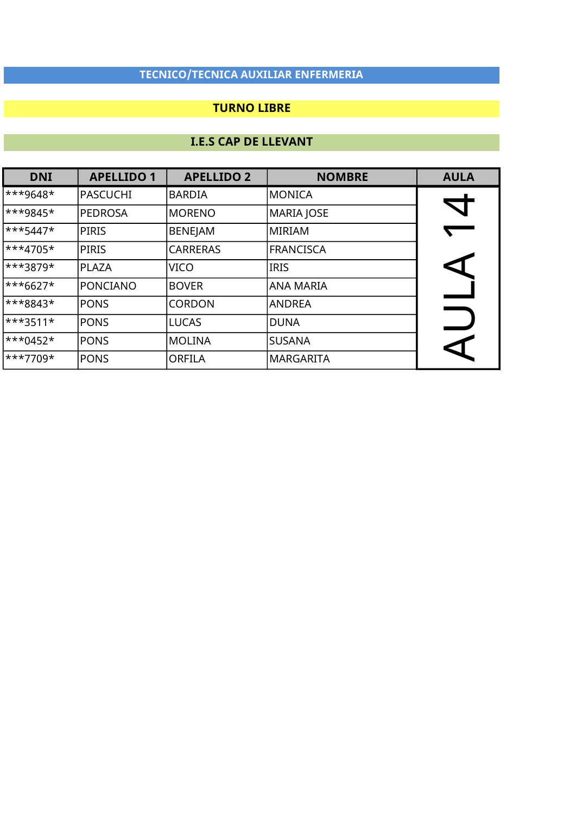### TURNO LIBRE

| <b>DNI</b> | <b>APELLIDO 1</b> | <b>APELLIDO 2</b> | <b>NOMBRE</b>    | <b>AULA</b>          |
|------------|-------------------|-------------------|------------------|----------------------|
| ***9648*   | <b>PASCUCHI</b>   | <b>BARDIA</b>     | <b>MONICA</b>    |                      |
| ***9845*   | <b>PEDROSA</b>    | <b>MORENO</b>     | MARIA JOSE       |                      |
| $***5447*$ | <b>PIRIS</b>      | <b>BENEJAM</b>    | MIRIAM           |                      |
| $***4705*$ | <b>PIRIS</b>      | <b>CARRERAS</b>   | <b>FRANCISCA</b> |                      |
| ***3879*   | <b>PLAZA</b>      | <b>VICO</b>       | IRIS             |                      |
| $***6627*$ | <b>PONCIANO</b>   | <b>BOVER</b>      | ANA MARIA        |                      |
| ***8843*   | <b>PONS</b>       | <b>CORDON</b>     | <b>ANDREA</b>    |                      |
| $***3511*$ | <b>PONS</b>       | <b>LUCAS</b>      | DUNA             |                      |
| $***0452*$ | <b>PONS</b>       | MOLINA            | <b>SUSANA</b>    | $\blacktriangleleft$ |
| ***7709*   | <b>PONS</b>       | <b>ORFILA</b>     | MARGARITA        |                      |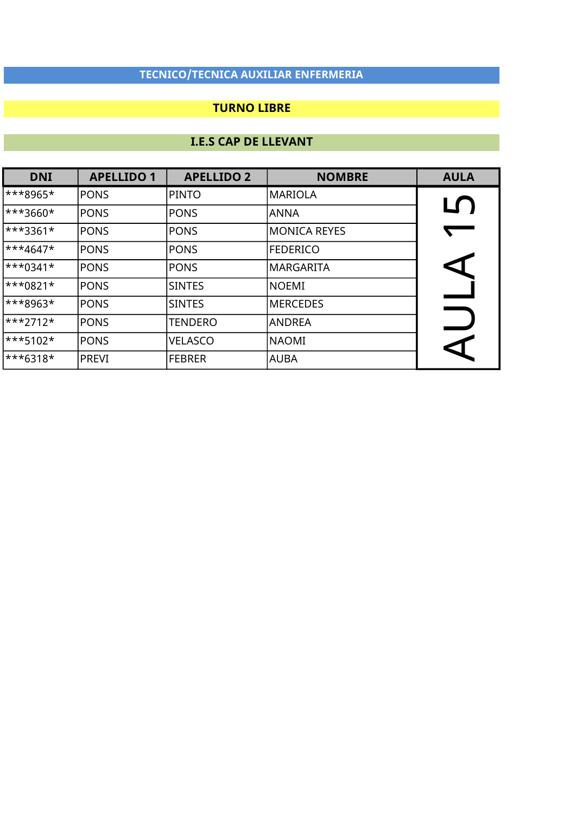### TURNO LIBRE

| <b>DNI</b>          | <b>APELLIDO 1</b> | <b>APELLIDO 2</b> | <b>NOMBRE</b>    | <b>AULA</b>          |
|---------------------|-------------------|-------------------|------------------|----------------------|
| ***8965*            | <b>PONS</b>       | PINTO             | MARIOLA          |                      |
| ***3660*            | <b>PONS</b>       | <b>PONS</b>       | <b>ANNA</b>      | LŊ                   |
| <sup>***3361*</sup> | <b>PONS</b>       | <b>PONS</b>       | MONICA REYES     | $\sqrt{2}$           |
| $**4647*$           | <b>PONS</b>       | <b>PONS</b>       | <b>FEDERICO</b>  |                      |
| $***0341*$          | <b>PONS</b>       | <b>PONS</b>       | lMARGARITA       | $\blacktriangleleft$ |
| ***0821*            | <b>PONS</b>       | <b>SINTES</b>     | <b>NOEMI</b>     |                      |
| ***8963*            | <b>PONS</b>       | <b>SINTES</b>     | <b>IMERCEDES</b> |                      |
| ***2712*            | <b>PONS</b>       | <b>TENDERO</b>    | <b>ANDREA</b>    |                      |
| ***5102*            | <b>PONS</b>       | <b>VELASCO</b>    | NAOMI            | K                    |
| $***6318*$          | <b>PREVI</b>      | <b>FEBRER</b>     | <b>AUBA</b>      |                      |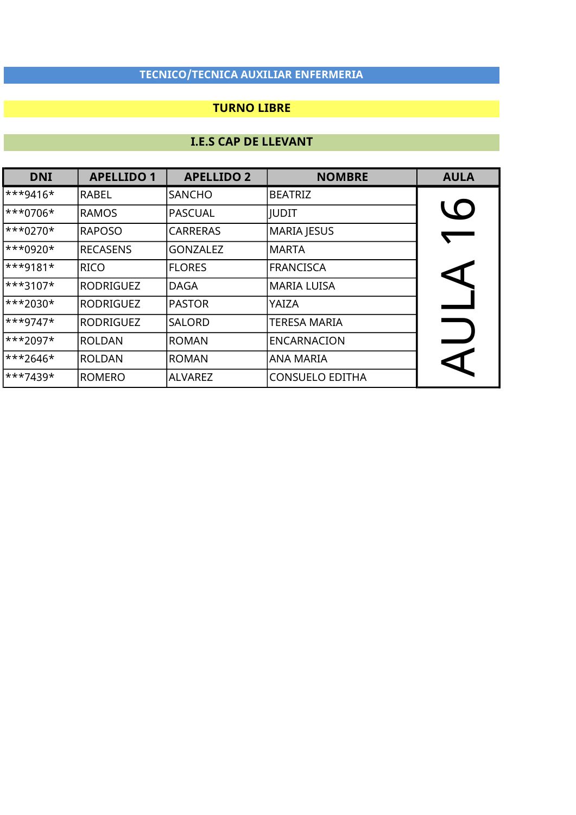### TURNO LIBRE

| <b>DNI</b> | <b>APELLIDO 1</b> | <b>APELLIDO 2</b> | <b>NOMBRE</b>          | <b>AULA</b>    |
|------------|-------------------|-------------------|------------------------|----------------|
| $***9416*$ | RABEL             | <b>SANCHO</b>     | <b>BEATRIZ</b>         |                |
| $***0706*$ | <b>RAMOS</b>      | <b>PASCUAL</b>    | <b>IUDIT</b>           | $\overline{O}$ |
| $***0270*$ | <b>RAPOSO</b>     | <b>CARRERAS</b>   | <b>MARIA JESUS</b>     |                |
| $***0920*$ | <b>RECASENS</b>   | <b>GONZALEZ</b>   | <b>MARTA</b>           |                |
| $***9181*$ | <b>RICO</b>       | <b>FLORES</b>     | <b>FRANCISCA</b>       |                |
| $***3107*$ | RODRIGUEZ         | <b>DAGA</b>       | <b>MARIA LUISA</b>     |                |
| ***2030*   | RODRIGUEZ         | <b>PASTOR</b>     | YAIZA                  |                |
| $***9747*$ | RODRIGUEZ         | <b>SALORD</b>     | <b>TERESA MARIA</b>    |                |
| $***2097*$ | <b>ROLDAN</b>     | <b>ROMAN</b>      | <b>ENCARNACION</b>     |                |
| $***2646*$ | <b>ROLDAN</b>     | <b>ROMAN</b>      | <b>ANA MARIA</b>       |                |
| $***7439*$ | <b>ROMERO</b>     | <b>ALVAREZ</b>    | <b>CONSUELO EDITHA</b> |                |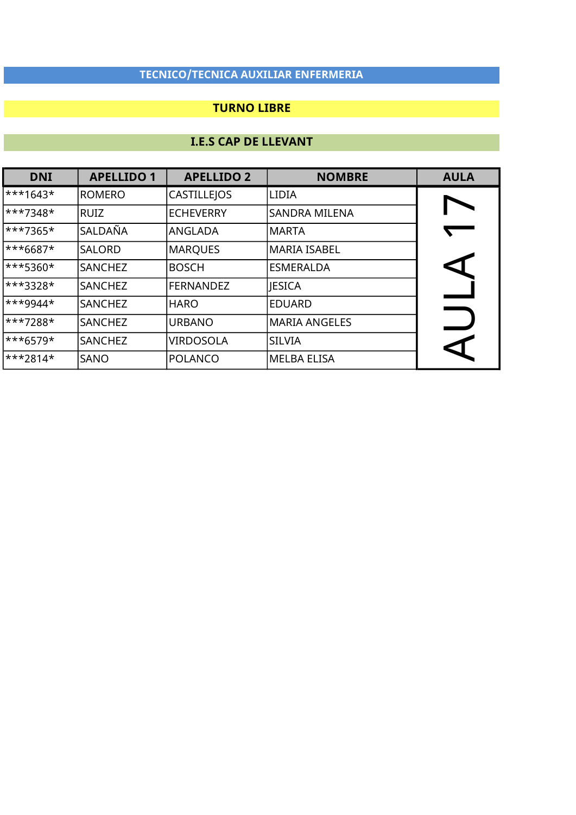### TURNO LIBRE

| <b>DNI</b>           | <b>APELLIDO 1</b> | <b>APELLIDO 2</b>  | <b>NOMBRE</b>        | <b>AULA</b>          |
|----------------------|-------------------|--------------------|----------------------|----------------------|
| ***1643*             | <b>ROMERO</b>     | <b>CASTILLEJOS</b> | <b>LIDIA</b>         |                      |
| ***7348*             | <b>RUIZ</b>       | <b>ECHEVERRY</b>   | <b>SANDRA MILENA</b> |                      |
| $***7365*$           | SALDAÑA           | ANGLADA            | MARTA                |                      |
| ***6687*             | <b>SALORD</b>     | <b>MARQUES</b>     | MARIA ISABEL         |                      |
| ***5360*             | <b>SANCHEZ</b>    | <b>BOSCH</b>       | <b>ESMERALDA</b>     | $\blacktriangleleft$ |
| ***3328*             | <b>SANCHEZ</b>    | <b>FERNANDEZ</b>   | <b>JESICA</b>        |                      |
| <sup>***9944</sup> * | <b>SANCHEZ</b>    | <b>HARO</b>        | <b>EDUARD</b>        |                      |
| ***7288*             | <b>SANCHEZ</b>    | <b>URBANO</b>      | MARIA ANGELES        |                      |
| $***6579*$           | <b>SANCHEZ</b>    | <b>VIRDOSOLA</b>   | <b>SILVIA</b>        | ↸                    |
| $\ast\ast\ast$ 2814* | SANO              | POLANCO            | MELBA ELISA          |                      |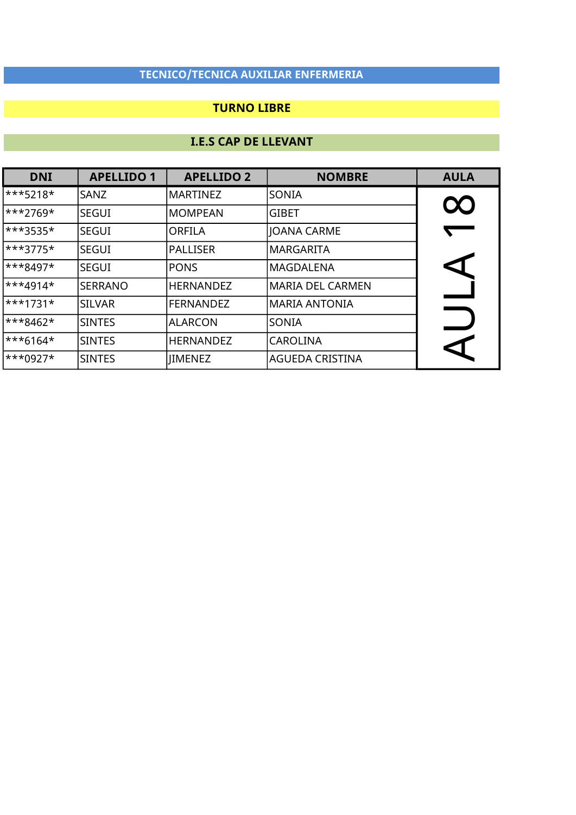### TURNO LIBRE

| <b>DNI</b>              | <b>APELLIDO 1</b> | <b>APELLIDO 2</b> | <b>NOMBRE</b>           | <b>AULA</b> |
|-------------------------|-------------------|-------------------|-------------------------|-------------|
| $\ast\ast\ast$ 5218*    | SANZ              | MARTINEZ          | SONIA                   |             |
| ***2769*                | <b>SEGUI</b>      | <b>MOMPEAN</b>    | <b>GIBET</b>            | $\infty$    |
| $ ***3535*$             | <b>SEGUI</b>      | <b>ORFILA</b>     | JOANA CARME             |             |
| $\ast\ast\ast3775\ast$  | <b>SEGUI</b>      | PALLISER          | MARGARITA               |             |
| $\ast\ast\ast 8497\ast$ | <b>SEGUI</b>      | <b>PONS</b>       | lMAGDALENA              | KI          |
| $\ast\ast\ast 4914\ast$ | <b>SERRANO</b>    | <b>HERNANDEZ</b>  | <b>MARIA DEL CARMEN</b> |             |
| $\ast\ast\ast$ 1731*    | <b>SILVAR</b>     | <b>FERNANDEZ</b>  | MARIA ANTONIA           |             |
| ***8462*                | <b>SINTES</b>     | <b>ALARCON</b>    | SONIA                   |             |
| $\ast\ast\ast 6164\ast$ | <b>SINTES</b>     | <b>HERNANDEZ</b>  | <b>CAROLINA</b>         | ς           |
| $\ast\ast\ast0927\ast$  | <b>SINTES</b>     | <b>IMENEZ</b>     | <b>AGUEDA CRISTINA</b>  |             |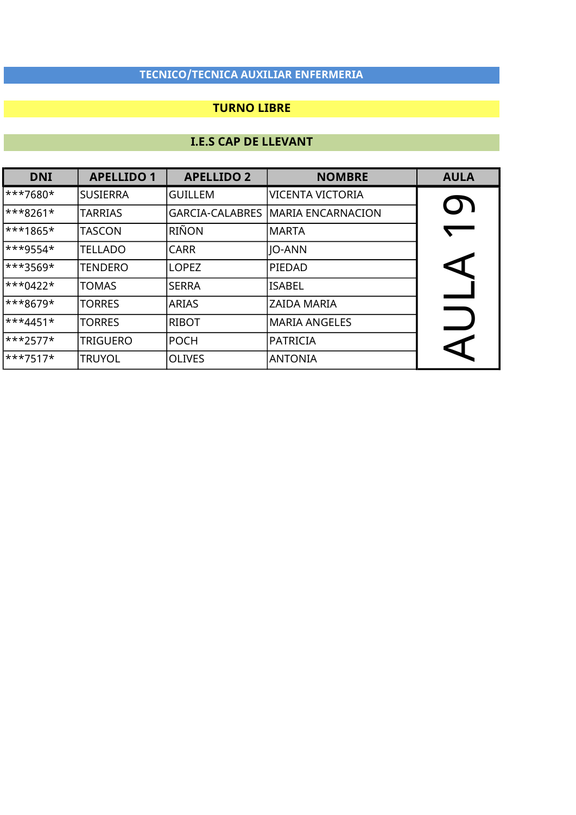### TURNO LIBRE

| <b>DNI</b>              | <b>APELLIDO 1</b> | <b>APELLIDO 2</b>      | <b>NOMBRE</b>           | <b>AULA</b>          |
|-------------------------|-------------------|------------------------|-------------------------|----------------------|
| ***7680*                | <b>SUSIERRA</b>   | <b>GUILLEM</b>         | <b>VICENTA VICTORIA</b> |                      |
| $\ast\ast\ast 8261\ast$ | <b>TARRIAS</b>    | <b>GARCIA-CALABRES</b> | MARIA ENCARNACION       | U I                  |
| ***1865*                | <b>TASCON</b>     | RIÑON                  | MARTA                   |                      |
| ***9554*                | <b>TELLADO</b>    | <b>CARR</b>            | <b>JO-ANN</b>           |                      |
| ***3569*                | <b>TENDERO</b>    | <b>LOPEZ</b>           | PIEDAD                  |                      |
| $\ast\ast\ast0422\ast$  | <b>TOMAS</b>      | <b>SERRA</b>           | <b>ISABEL</b>           |                      |
| ***8679*                | <b>TORRES</b>     | <b>ARIAS</b>           | <b>ZAIDA MARIA</b>      |                      |
| <sup>***4451*</sup>     | <b>TORRES</b>     | <b>RIBOT</b>           | <b>MARIA ANGELES</b>    |                      |
| $\ast\ast\ast$ 2577*    | <b>TRIGUERO</b>   | POCH                   | <b>PATRICIA</b>         | $\blacktriangleleft$ |
| $\ast\ast\ast7517\ast$  | <b>TRUYOL</b>     | <b>OLIVES</b>          | ANTONIA                 |                      |